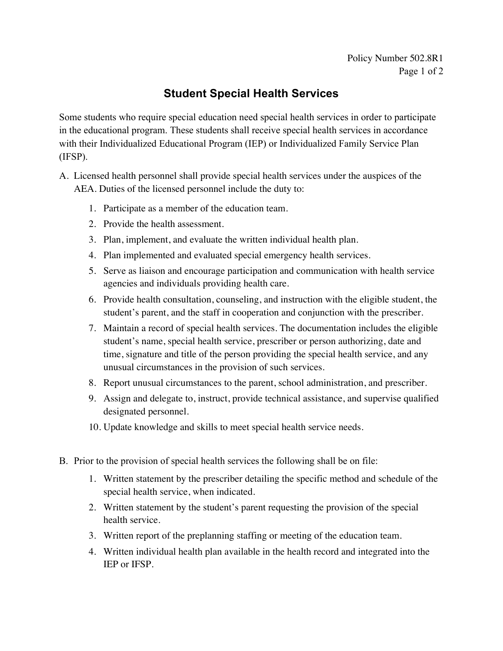## **Student Special Health Services**

Some students who require special education need special health services in order to participate in the educational program. These students shall receive special health services in accordance with their Individualized Educational Program (IEP) or Individualized Family Service Plan (IFSP).

- A. Licensed health personnel shall provide special health services under the auspices of the AEA. Duties of the licensed personnel include the duty to:
	- 1. Participate as a member of the education team.
	- 2. Provide the health assessment.
	- 3. Plan, implement, and evaluate the written individual health plan.
	- 4. Plan implemented and evaluated special emergency health services.
	- 5. Serve as liaison and encourage participation and communication with health service agencies and individuals providing health care.
	- 6. Provide health consultation, counseling, and instruction with the eligible student, the student's parent, and the staff in cooperation and conjunction with the prescriber.
	- 7. Maintain a record of special health services. The documentation includes the eligible student's name, special health service, prescriber or person authorizing, date and time, signature and title of the person providing the special health service, and any unusual circumstances in the provision of such services.
	- 8. Report unusual circumstances to the parent, school administration, and prescriber.
	- 9. Assign and delegate to, instruct, provide technical assistance, and supervise qualified designated personnel.
	- 10. Update knowledge and skills to meet special health service needs.
- B. Prior to the provision of special health services the following shall be on file:
	- 1. Written statement by the prescriber detailing the specific method and schedule of the special health service, when indicated.
	- 2. Written statement by the student's parent requesting the provision of the special health service.
	- 3. Written report of the preplanning staffing or meeting of the education team.
	- 4. Written individual health plan available in the health record and integrated into the IEP or IFSP.